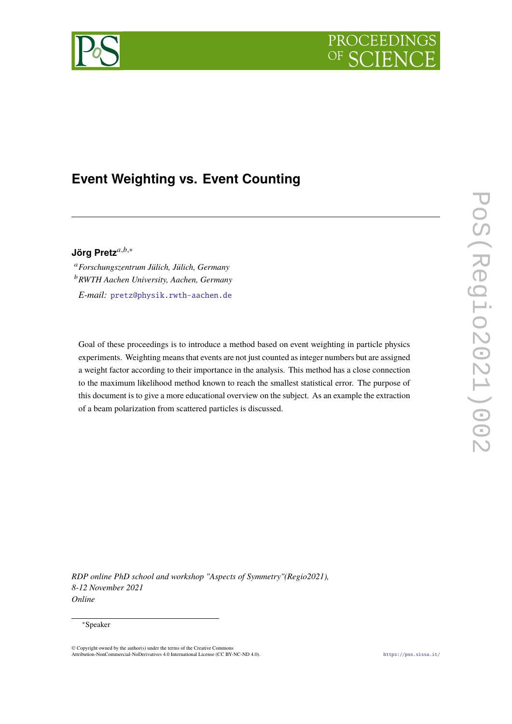



# **Event Weighting vs. Event Counting**

## Jörg Pretz<sup>a,b,∗</sup>

<sup>𝑎</sup>*Forschungszentrum Jülich, Jülich, Germany* <sup>𝑏</sup>*RWTH Aachen University, Aachen, Germany E-mail:* [pretz@physik.rwth-aachen.de](mailto:pretz@physik.rwth-aachen.de)

Goal of these proceedings is to introduce a method based on event weighting in particle physics experiments. Weighting means that events are not just counted as integer numbers but are assigned a weight factor according to their importance in the analysis. This method has a close connection to the maximum likelihood method known to reach the smallest statistical error. The purpose of this document is to give a more educational overview on the subject. As an example the extraction of a beam polarization from scattered particles is discussed.

*RDP online PhD school and workshop "Aspects of Symmetry"(Regio2021), 8-12 November 2021 Online*

#### <sup>∗</sup>Speaker

<sup>©</sup> Copyright owned by the author(s) under the terms of the Creative Commons Attribution-NonCommercial-NoDerivatives 4.0 International License (CC BY-NC-ND 4.0). <https://pos.sissa.it/>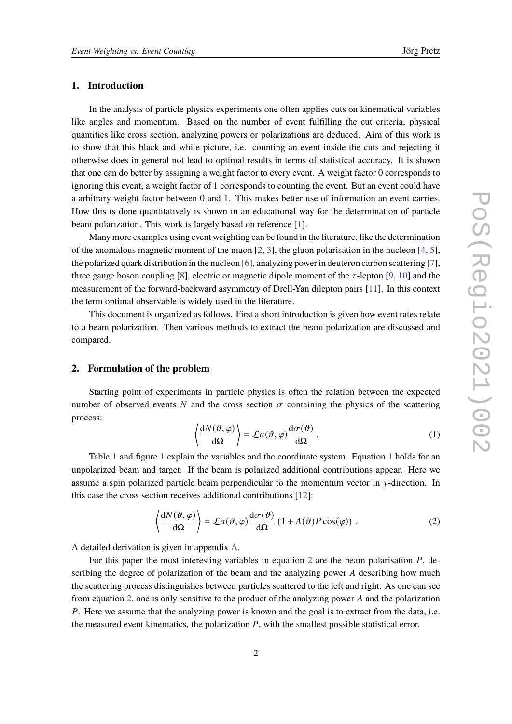## **1. Introduction**

In the analysis of particle physics experiments one often applies cuts on kinematical variables like angles and momentum. Based on the number of event fulfilling the cut criteria, physical quantities like cross section, analyzing powers or polarizations are deduced. Aim of this work is to show that this black and white picture, i.e. counting an event inside the cuts and rejecting it otherwise does in general not lead to optimal results in terms of statistical accuracy. It is shown that one can do better by assigning a weight factor to every event. A weight factor 0 corresponds to ignoring this event, a weight factor of 1 corresponds to counting the event. But an event could have a arbitrary weight factor between 0 and 1. This makes better use of information an event carries. How this is done quantitatively is shown in an educational way for the determination of particle beam polarization. This work is largely based on reference [\[1\]](#page-13-0).

Many more examples using event weighting can be found in the literature, like the determination of the anomalous magnetic moment of the muon [\[2,](#page-13-1) [3\]](#page-13-2), the gluon polarisation in the nucleon [\[4,](#page-13-3) [5\]](#page-13-4), the polarized quark distribution in the nucleon [\[6\]](#page-13-5), analyzing power in deuteron carbon scattering [\[7\]](#page-13-6), three gauge boson coupling [\[8\]](#page-13-7), electric or magnetic dipole moment of the  $\tau$ -lepton [\[9,](#page-13-8) [10\]](#page-13-9) and the measurement of the forward-backward asymmetry of Drell-Yan dilepton pairs [\[11\]](#page-13-10). In this context the term optimal observable is widely used in the literature.

This document is organized as follows. First a short introduction is given how event rates relate to a beam polarization. Then various methods to extract the beam polarization are discussed and compared.

#### **2. Formulation of the problem**

Starting point of experiments in particle physics is often the relation between the expected number of observed events N and the cross section  $\sigma$  containing the physics of the scattering process:

<span id="page-1-0"></span>
$$
\left\langle \frac{dN(\vartheta, \varphi)}{d\Omega} \right\rangle = \mathcal{L}a(\vartheta, \varphi) \frac{d\sigma(\vartheta)}{d\Omega} . \tag{1}
$$

Table [1](#page-1-0) and figure 1 explain the variables and the coordinate system. Equation 1 holds for an unpolarized beam and target. If the beam is polarized additional contributions appear. Here we assume a spin polarized particle beam perpendicular to the momentum vector in y-direction. In this case the cross section receives additional contributions [\[12\]](#page-13-11):

<span id="page-1-1"></span>
$$
\left\langle \frac{dN(\vartheta,\varphi)}{d\Omega} \right\rangle = \mathcal{L}a(\vartheta,\varphi)\frac{d\sigma(\vartheta)}{d\Omega} \left(1 + A(\vartheta)P\cos(\varphi)\right) . \tag{2}
$$

A detailed derivation is given in appendix [A.](#page-9-0)

For this paper the most interesting variables in equation [2](#page-1-1) are the beam polarisation  $P$ , describing the degree of polarization of the beam and the analyzing power  $A$  describing how much the scattering process distinguishes between particles scattered to the left and right. As one can see from equation [2,](#page-1-1) one is only sensitive to the product of the analyzing power  $A$  and the polarization P. Here we assume that the analyzing power is known and the goal is to extract from the data, i.e. the measured event kinematics, the polarization  $P$ , with the smallest possible statistical error.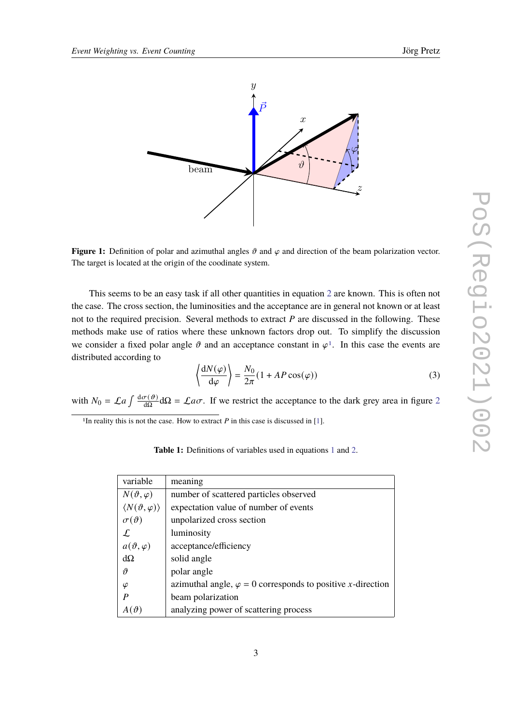<span id="page-2-1"></span>

**Figure 1:** Definition of polar and azimuthal angles  $\vartheta$  and  $\varphi$  and direction of the beam polarization vector. The target is located at the origin of the coodinate system.

This seems to be an easy task if all other quantities in equation [2](#page-1-1) are known. This is often not the case. The cross section, the luminosities and the acceptance are in general not known or at least not to the required precision. Several methods to extract  $P$  are discussed in the following. These methods make use of ratios where these unknown factors drop out. To simplify the discussion we consider a fixed polar angle  $\vartheta$  and an acceptance constant in  $\varphi^1$  $\varphi^1$ . In this case the events are distributed according to

<span id="page-2-3"></span>
$$
\left\langle \frac{dN(\varphi)}{d\varphi} \right\rangle = \frac{N_0}{2\pi} (1 + AP \cos(\varphi))
$$
 (3)

with  $N_0 = \mathcal{L}a \int \frac{d\sigma(\vartheta)}{d\Omega}$  $\frac{\sigma(\theta)}{d\Omega} d\Omega = \mathcal{L} a \sigma$ . If we restrict the acceptance to the dark grey area in figure [2](#page-3-0)

<span id="page-2-2"></span><span id="page-2-0"></span><sup>1</sup>In reality this is not the case. How to extract  $P$  in this case is discussed in [\[1\]](#page-13-0).

**Table 1:** Definitions of variables used in equations [1](#page-1-0) and [2.](#page-1-1)

| variable                              | meaning                                                                    |
|---------------------------------------|----------------------------------------------------------------------------|
| $N(\vartheta,\varphi)$                | number of scattered particles observed                                     |
| $\langle N(\vartheta,\varphi)\rangle$ | expectation value of number of events                                      |
| $\sigma(\vartheta)$                   | unpolarized cross section                                                  |
| $\mathcal L$                          | luminosity                                                                 |
| $a(\vartheta,\varphi)$                | acceptance/efficiency                                                      |
| $d\Omega$                             | solid angle                                                                |
| $\boldsymbol{\vartheta}$              | polar angle                                                                |
| $\varphi$                             | azimuthal angle, $\varphi = 0$ corresponds to positive <i>x</i> -direction |
| P                                     | beam polarization                                                          |
|                                       | analyzing power of scattering process                                      |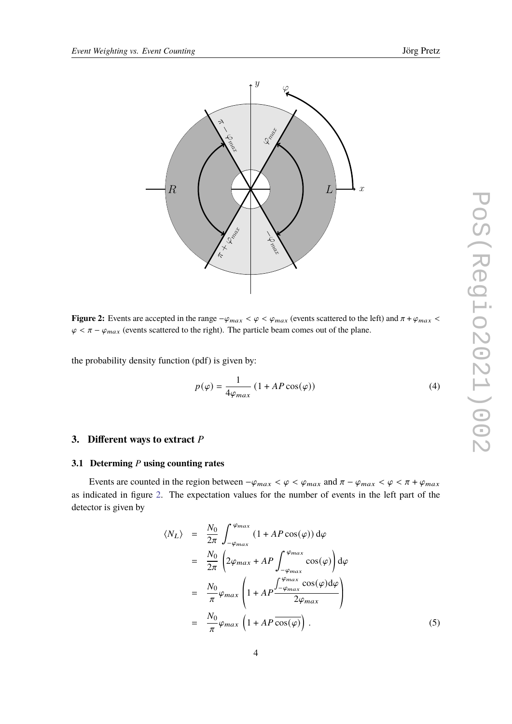<span id="page-3-0"></span>

**Figure 2:** Events are accepted in the range  $-\varphi_{max} < \varphi < \varphi_{max}$  (events scattered to the left) and  $\pi + \varphi_{max} < \pi$  $\varphi < \pi - \varphi_{max}$  (events scattered to the right). The particle beam comes out of the plane.

the probability density function (pdf) is given by:

$$
p(\varphi) = \frac{1}{4\varphi_{max}} \left( 1 + AP \cos(\varphi) \right) \tag{4}
$$

## **3. Different ways to extract** P

#### **3.1 Determing** *P* using counting rates

Events are counted in the region between  $-\varphi_{max} < \varphi < \varphi_{max}$  and  $\pi - \varphi_{max} < \varphi < \pi + \varphi_{max}$ as indicated in figure [2.](#page-3-0) The expectation values for the number of events in the left part of the detector is given by

$$
\langle N_L \rangle = \frac{N_0}{2\pi} \int_{-\varphi_{max}}^{\varphi_{max}} (1 + AP \cos(\varphi)) d\varphi
$$
  
\n
$$
= \frac{N_0}{2\pi} \left( 2\varphi_{max} + AP \int_{-\varphi_{max}}^{\varphi_{max}} \cos(\varphi) d\varphi \right)
$$
  
\n
$$
= \frac{N_0}{\pi} \varphi_{max} \left( 1 + AP \frac{\int_{-\varphi_{max}}^{\varphi_{max}} \cos(\varphi) d\varphi}{2\varphi_{max}} \right)
$$
  
\n
$$
= \frac{N_0}{\pi} \varphi_{max} \left( 1 + AP \overline{\cos(\varphi)} \right).
$$
 (5)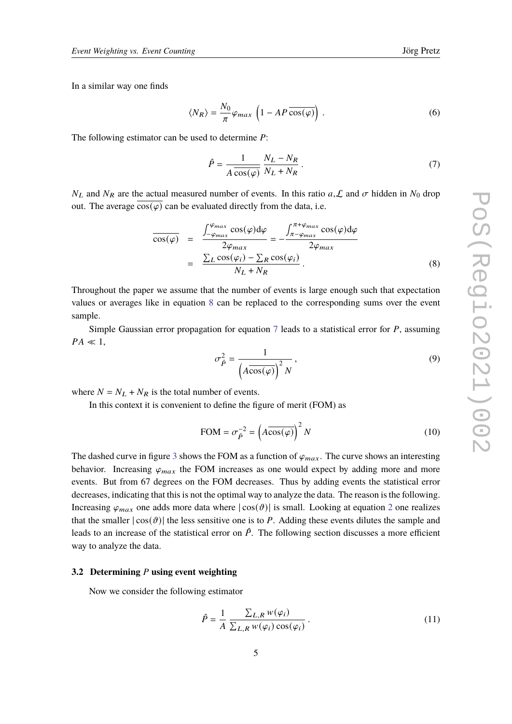In a similar way one finds

$$
\langle N_R \rangle = \frac{N_0}{\pi} \varphi_{max} \left( 1 - AP \overline{\cos(\varphi)} \right). \tag{6}
$$

The following estimator can be used to determine  $P$ :

<span id="page-4-1"></span>
$$
\hat{P} = \frac{1}{A \cos(\varphi)} \frac{N_L - N_R}{N_L + N_R} \,. \tag{7}
$$

 $N_L$  and  $N_R$  are the actual measured number of events. In this ratio  $a, L$  and  $\sigma$  hidden in  $N_0$  drop out. The average  $cos(\varphi)$  can be evaluated directly from the data, i.e.

<span id="page-4-0"></span>
$$
\frac{\cos(\varphi)}{\cos(\varphi)} = \frac{\int_{-\varphi_{max}}^{\varphi_{max}} \cos(\varphi) d\varphi}{2\varphi_{max}} = -\frac{\int_{\pi-\varphi_{max}}^{\pi+\varphi_{max}} \cos(\varphi) d\varphi}{2\varphi_{max}} = \frac{\sum_{L} \cos(\varphi_i) - \sum_{R} \cos(\varphi_i)}{N_L + N_R}.
$$
\n(8)

Throughout the paper we assume that the number of events is large enough such that expectation values or averages like in equation [8](#page-4-0) can be replaced to the corresponding sums over the event sample.

Simple Gaussian error propagation for equation  $7$  leads to a statistical error for  $P$ , assuming  $PA \ll 1$ ,

$$
\sigma_{\hat{P}}^2 = \frac{1}{\left(A\overline{\cos(\varphi)}\right)^2 N},\tag{9}
$$

where  $N = N_L + N_R$  is the total number of events.

In this context it is convenient to define the figure of merit (FOM) as

<span id="page-4-3"></span>
$$
\text{FOM} = \sigma_{\hat{P}}^{-2} = \left(A\overline{\cos(\varphi)}\right)^2 N \tag{10}
$$

The dashed curve in figure [3](#page-5-0) shows the FOM as a function of  $\varphi_{max}$ . The curve shows an interesting behavior. Increasing  $\varphi_{max}$  the FOM increases as one would expect by adding more and more events. But from 67 degrees on the FOM decreases. Thus by adding events the statistical error decreases, indicating that this is not the optimal way to analyze the data. The reason is the following. Increasing  $\varphi_{max}$  one adds more data where  $|\cos(\theta)|$  is small. Looking at equation [2](#page-1-1) one realizes that the smaller  $|\cos(\theta)|$  the less sensitive one is to P. Adding these events dilutes the sample and leads to an increase of the statistical error on  $\hat{P}$ . The following section discusses a more efficient way to analyze the data.

#### <span id="page-4-4"></span>**3.2 Determining** P using event weighting

Now we consider the following estimator

<span id="page-4-2"></span>
$$
\hat{P} = \frac{1}{A} \frac{\sum_{L,R} w(\varphi_i)}{\sum_{L,R} w(\varphi_i) \cos(\varphi_i)}.
$$
\n(11)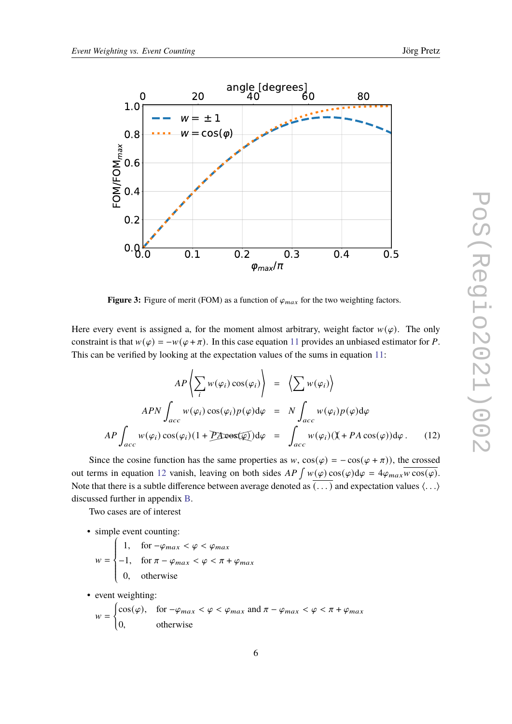<span id="page-5-0"></span>

**Figure 3:** Figure of merit (FOM) as a function of  $\varphi_{max}$  for the two weighting factors.

Here every event is assigned a, for the moment almost arbitrary, weight factor  $w(\varphi)$ . The only constraint is that  $w(\varphi) = -w(\varphi + \pi)$ . In this case equation [11](#page-4-2) provides an unbiased estimator for P. This can be verified by looking at the expectation values of the sums in equation [11:](#page-4-2)

<span id="page-5-1"></span>
$$
AP\left\langle \sum_{i} w(\varphi_{i}) \cos(\varphi_{i}) \right\rangle = \left\langle \sum_{i} w(\varphi_{i}) \right\rangle
$$
  
APN
$$
\int_{acc} w(\varphi_{i}) \cos(\varphi_{i}) p(\varphi) d\varphi = N \int_{acc} w(\varphi_{i}) p(\varphi) d\varphi
$$
  
AP
$$
\int_{acc} w(\varphi_{i}) \cos(\varphi_{i}) (1 + P \text{A} \cos(\varphi)) d\varphi = \int_{acc} w(\varphi_{i}) (\mathbb{X} + P A \cos(\varphi)) d\varphi.
$$
 (12)

Since the cosine function has the same properties as  $w$ ,  $\cos(\varphi) = -\cos(\varphi + \pi)$ , the crossed out terms in equation [12](#page-5-1) vanish, leaving on both sides  $AP \int w(\varphi) \cos(\varphi) d\varphi = 4\varphi_{max} \overline{w \cos(\varphi)}$ . Note that there is a subtle difference between average denoted as  $\overline{(\ldots)}$  and expectation values  $\langle \ldots \rangle$ discussed further in appendix [B.](#page-10-0)

Two cases are of interest

• simple event counting:

 $w =$  $\Bigg\}$  $\overline{\mathcal{L}}$ 1, for  $-\varphi_{max} < \varphi < \varphi_{max}$  $-1$ , for  $\pi - \varphi_{max} < \varphi < \pi + \varphi_{max}$ 0, otherwise

• event weighting:

$$
w = \begin{cases} \cos(\varphi), & \text{for } -\varphi_{max} < \varphi < \varphi_{max} \text{ and } \pi - \varphi_{max} < \varphi < \pi + \varphi_{max} \\ 0, & \text{otherwise} \end{cases}
$$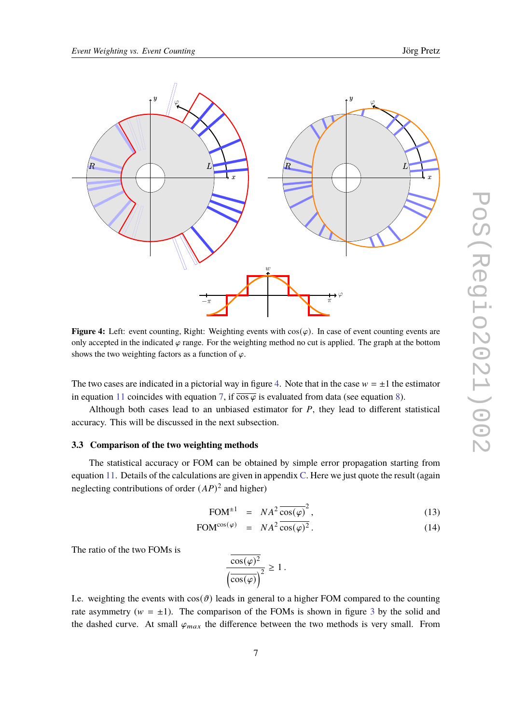<span id="page-6-0"></span>

**Figure 4:** Left: event counting, Right: Weighting events with  $cos(\varphi)$ . In case of event counting events are only accepted in the indicated  $\varphi$  range. For the weighting method no cut is applied. The graph at the bottom shows the two weighting factors as a function of  $\varphi$ .

The two cases are indicated in a pictorial way in figure [4.](#page-6-0) Note that in the case  $w = \pm 1$  the estimator in equation [11](#page-4-2) coincides with equation [7,](#page-4-1) if  $\overline{\cos \varphi}$  is evaluated from data (see equation [8\)](#page-4-0).

Although both cases lead to an unbiased estimator for  $P$ , they lead to different statistical accuracy. This will be discussed in the next subsection.

#### **3.3 Comparison of the two weighting methods**

The statistical accuracy or FOM can be obtained by simple error propagation starting from equation [11.](#page-4-2) Details of the calculations are given in appendix [C.](#page-11-0) Here we just quote the result (again neglecting contributions of order  $(AP)^2$  and higher)

<span id="page-6-1"></span>
$$
\text{FOM}^{\pm 1} = N A^2 \frac{\cos(\varphi)}{\cos(\varphi)^2},\tag{13}
$$

$$
\text{FOM}^{\cos(\varphi)} = NA^2 \overline{\cos(\varphi)^2} \,. \tag{14}
$$

The ratio of the two FOMs is

 $\overline{\cos(\varphi)^2}$  $\left(\overline{\cos(\varphi)}\right)^2$  $\geq 1$ .

I.e. weighting the events with  $cos(\theta)$  leads in general to a higher FOM compared to the counting rate asymmetry ( $w = \pm 1$ ). The comparison of the FOMs is shown in figure [3](#page-5-0) by the solid and the dashed curve. At small  $\varphi_{max}$  the difference between the two methods is very small. From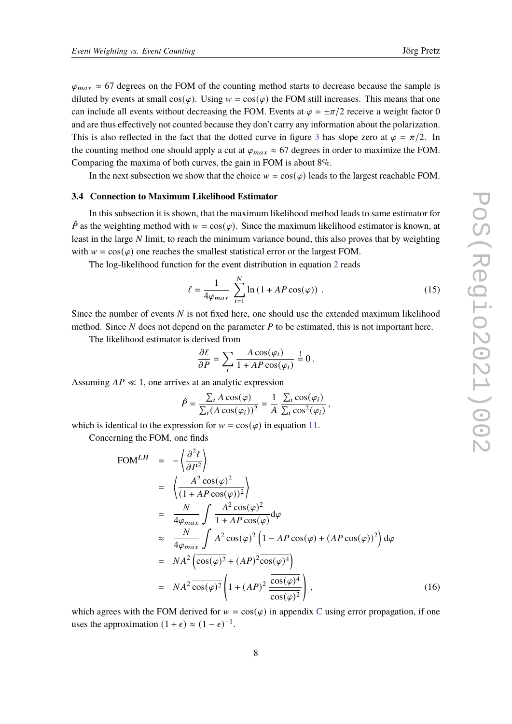$\varphi_{max} \approx 67$  degrees on the FOM of the counting method starts to decrease because the sample is diluted by events at small  $cos(\varphi)$ . Using  $w = cos(\varphi)$  the FOM still increases. This means that one can include all events without decreasing the FOM. Events at  $\varphi = \pm \pi/2$  receive a weight factor 0 and are thus effectively not counted because they don't carry any information about the polarization. This is also reflected in the fact that the dotted curve in figure [3](#page-5-0) has slope zero at  $\varphi = \pi/2$ . In the counting method one should apply a cut at  $\varphi_{max} \approx 67$  degrees in order to maximize the FOM. Comparing the maxima of both curves, the gain in FOM is about 8%.

In the next subsection we show that the choice  $w = cos(\varphi)$  leads to the largest reachable FOM.

#### **3.4 Connection to Maximum Likelihood Estimator**

In this subsection it is shown, that the maximum likelihood method leads to same estimator for  $\hat{P}$  as the weighting method with  $w = \cos(\varphi)$ . Since the maximum likelihood estimator is known, at least in the large  $N$  limit, to reach the minimum variance bound, this also proves that by weighting with  $w = cos(\varphi)$  one reaches the smallest statistical error or the largest FOM.

The log-likelihood function for the event distribution in equation [2](#page-1-1) reads

$$
\ell = \frac{1}{4\varphi_{max}} \sum_{i=1}^{N} \ln\left(1 + AP\cos(\varphi)\right) \,. \tag{15}
$$

Since the number of events  $N$  is not fixed here, one should use the extended maximum likelihood method. Since  $N$  does not depend on the parameter  $P$  to be estimated, this is not important here.

The likelihood estimator is derived from

$$
\frac{\partial \ell}{\partial P} = \sum_{i} \frac{A \cos(\varphi_i)}{1 + AP \cos(\varphi_i)} \stackrel{!}{=} 0.
$$

Assuming  $AP \ll 1$ , one arrives at an analytic expression

$$
\hat{P} = \frac{\sum_i A \cos(\varphi)}{\sum_i (A \cos(\varphi_i))^2} = \frac{1}{A} \frac{\sum_i \cos(\varphi_i)}{\sum_i \cos^2(\varphi_i)},
$$

which is identical to the expression for  $w = cos(\varphi)$  in equation [11.](#page-4-2)

Concerning the FOM, one finds

<span id="page-7-0"></span>
$$
\text{FOM}^{LH} = -\left\langle \frac{\partial^2 \ell}{\partial P^2} \right\rangle
$$
\n
$$
= \left\langle \frac{A^2 \cos(\varphi)^2}{(1 + AP \cos(\varphi))^2} \right\rangle
$$
\n
$$
= \frac{N}{4\varphi_{max}} \int \frac{A^2 \cos(\varphi)^2}{1 + AP \cos(\varphi)} d\varphi
$$
\n
$$
\approx \frac{N}{4\varphi_{max}} \int A^2 \cos(\varphi)^2 \left(1 - AP \cos(\varphi) + (AP \cos(\varphi))^2\right) d\varphi
$$
\n
$$
= NA^2 \left( \frac{\cos(\varphi)^2}{\cos(\varphi)^2} + (AP)^2 \frac{\cos(\varphi)^4}{\cos(\varphi)^2} \right), \tag{16}
$$

which agrees with the FOM derived for  $w = cos(\varphi)$  in appendix [C](#page-11-0) using error propagation, if one uses the approximation  $(1 + \epsilon) \approx (1 - \epsilon)^{-1}$ .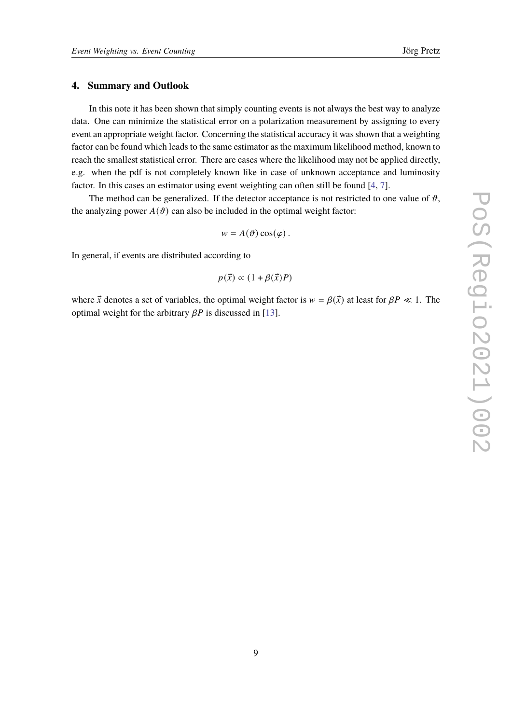## **4. Summary and Outlook**

In this note it has been shown that simply counting events is not always the best way to analyze data. One can minimize the statistical error on a polarization measurement by assigning to every event an appropriate weight factor. Concerning the statistical accuracy it was shown that a weighting factor can be found which leads to the same estimator as the maximum likelihood method, known to reach the smallest statistical error. There are cases where the likelihood may not be applied directly, e.g. when the pdf is not completely known like in case of unknown acceptance and luminosity factor. In this cases an estimator using event weighting can often still be found [\[4,](#page-13-3) [7\]](#page-13-6).

The method can be generalized. If the detector acceptance is not restricted to one value of  $\vartheta$ , the analyzing power  $A(\vartheta)$  can also be included in the optimal weight factor:

 $w = A(\vartheta) \cos(\varphi)$ .

In general, if events are distributed according to

$$
p(\vec{x}) \propto (1 + \beta(\vec{x})P)
$$

where  $\vec{x}$  denotes a set of variables, the optimal weight factor is  $w = \beta(\vec{x})$  at least for  $\beta P \ll 1$ . The optimal weight for the arbitrary  $\beta P$  is discussed in [\[13\]](#page-13-12).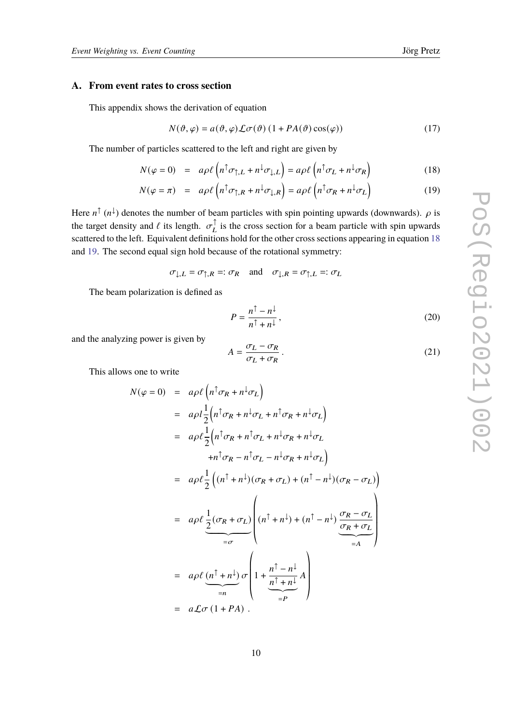#### <span id="page-9-0"></span>**A. From event rates to cross section**

This appendix shows the derivation of equation

$$
N(\vartheta, \varphi) = a(\vartheta, \varphi) \mathcal{L}\sigma(\vartheta) (1 + PA(\vartheta)\cos(\varphi))
$$
 (17)

The number of particles scattered to the left and right are given by

<span id="page-9-1"></span>
$$
N(\varphi = 0) = a\rho \ell \left( n^{\uparrow} \sigma_{\uparrow, L} + n^{\downarrow} \sigma_{\downarrow, L} \right) = a\rho \ell \left( n^{\uparrow} \sigma_L + n^{\downarrow} \sigma_R \right)
$$
(18)

$$
N(\varphi = \pi) = a\rho \ell \left( n^{\uparrow} \sigma_{\uparrow,R} + n^{\downarrow} \sigma_{\downarrow,R} \right) = a\rho \ell \left( n^{\uparrow} \sigma_R + n^{\downarrow} \sigma_L \right)
$$
(19)

Here  $n^{\uparrow}(n^{\downarrow})$  denotes the number of beam particles with spin pointing upwards (downwards).  $\rho$  is the target density and  $\ell$  its length.  $\sigma_L^{\uparrow}$  is the cross section for a beam particle with spin upwards scattered to the left. Equivalent definitions hold for the other cross sections appearing in equation [18](#page-9-1) and [19.](#page-9-1) The second equal sign hold because of the rotational symmetry:

$$
\sigma_{\downarrow,L} = \sigma_{\uparrow,R} =: \sigma_R
$$
 and  $\sigma_{\downarrow,R} = \sigma_{\uparrow,L} =: \sigma_L$ 

The beam polarization is defined as

$$
P = \frac{n^{\uparrow} - n^{\downarrow}}{n^{\uparrow} + n^{\downarrow}},\tag{20}
$$

and the analyzing power is given by

$$
A = \frac{\sigma_L - \sigma_R}{\sigma_L + \sigma_R} \,. \tag{21}
$$

This allows one to write

$$
N(\varphi = 0) = a\rho\ell \left( n^{\uparrow} \sigma_R + n^{\downarrow} \sigma_L \right)
$$
  
\n
$$
= a\rho l \frac{1}{2} \left( n^{\uparrow} \sigma_R + n^{\downarrow} \sigma_L + n^{\uparrow} \sigma_R + n^{\downarrow} \sigma_L \right)
$$
  
\n
$$
= a\rho \ell \frac{1}{2} \left( n^{\uparrow} \sigma_R + n^{\uparrow} \sigma_L + n^{\downarrow} \sigma_R + n^{\downarrow} \sigma_L \right)
$$
  
\n
$$
+ n^{\uparrow} \sigma_R - n^{\uparrow} \sigma_L - n^{\downarrow} \sigma_R + n^{\downarrow} \sigma_L \right)
$$
  
\n
$$
= a\rho \ell \frac{1}{2} \left( (n^{\uparrow} + n^{\downarrow}) (\sigma_R + \sigma_L) + (n^{\uparrow} - n^{\downarrow}) (\sigma_R - \sigma_L) \right)
$$
  
\n
$$
= a\rho \ell \frac{1}{2} (\sigma_R + \sigma_L) \left( n^{\uparrow} + n^{\downarrow}) + (n^{\uparrow} - n^{\downarrow}) \underbrace{\frac{\sigma_R - \sigma_L}{\sigma_R + \sigma_L}}_{=A} \right)
$$
  
\n
$$
= a\rho \ell \underbrace{(n^{\uparrow} + n^{\downarrow})}_{=n} \sigma \left( 1 + \underbrace{\frac{n^{\uparrow} - n^{\downarrow}}{n^{\uparrow} + n^{\downarrow}} A}_{=P} \right)
$$
  
\n
$$
= a\mathcal{L}\sigma (1 + PA).
$$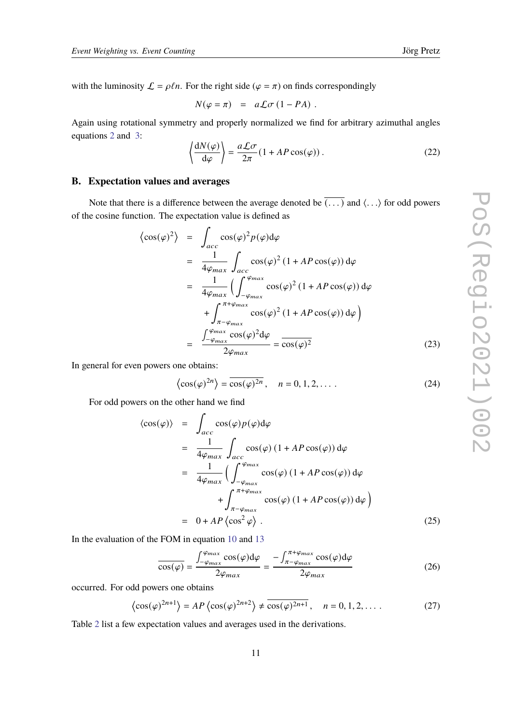with the luminosity  $\mathcal{L} = \rho \ell n$ . For the right side ( $\varphi = \pi$ ) on finds correspondingly

$$
N(\varphi = \pi) = a\mathcal{L}\sigma (1 - PA) .
$$

Again using rotational symmetry and properly normalized we find for arbitrary azimuthal angles equations [2](#page-1-1) and [3:](#page-2-3)

$$
\left\langle \frac{dN(\varphi)}{d\varphi} \right\rangle = \frac{a\mathcal{L}\sigma}{2\pi} (1 + AP\cos(\varphi)).
$$
 (22)

## <span id="page-10-0"></span>**B. Expectation values and averages**

Note that there is a difference between the average denoted be  $\overline{(\ldots)}$  and  $\langle \ldots \rangle$  for odd powers of the cosine function. The expectation value is defined as

$$
\langle \cos(\varphi)^2 \rangle = \int_{acc} \cos(\varphi)^2 p(\varphi) d\varphi
$$
  
= 
$$
\frac{1}{4\varphi_{max}} \int_{acc} \cos(\varphi)^2 (1 + AP \cos(\varphi)) d\varphi
$$
  
= 
$$
\frac{1}{4\varphi_{max}} \Big( \int_{-\varphi_{max}}^{\varphi_{max}} \cos(\varphi)^2 (1 + AP \cos(\varphi)) d\varphi
$$
  
+ 
$$
\int_{\pi - \varphi_{max}}^{\pi + \varphi_{max}} \cos(\varphi)^2 (1 + AP \cos(\varphi)) d\varphi \Big)
$$
  
= 
$$
\frac{\int_{-\varphi_{max}}^{\varphi_{max}} \cos(\varphi)^2 d\varphi}{2\varphi_{max}} = \frac{1}{\cos(\varphi)^2}
$$
(23)

In general for even powers one obtains:

$$
\langle \cos(\varphi)^{2n} \rangle = \overline{\cos(\varphi)^{2n}}, \quad n = 0, 1, 2, \dots
$$
 (24)

For odd powers on the other hand we find

$$
\langle \cos(\varphi) \rangle = \int_{acc} \cos(\varphi) p(\varphi) d\varphi
$$
  
\n
$$
= \frac{1}{4\varphi_{max}} \int_{acc} \cos(\varphi) (1 + AP \cos(\varphi)) d\varphi
$$
  
\n
$$
= \frac{1}{4\varphi_{max}} \Big( \int_{-\varphi_{max}}^{\varphi_{max}} \cos(\varphi) (1 + AP \cos(\varphi)) d\varphi
$$
  
\n
$$
+ \int_{\pi - \varphi_{max}}^{\pi + \varphi_{max}} \cos(\varphi) (1 + AP \cos(\varphi)) d\varphi \Big)
$$
  
\n
$$
= 0 + AP \Big\langle \cos^2 \varphi \Big\rangle . \tag{25}
$$

In the evaluation of the FOM in equation [10](#page-4-3) and [13](#page-6-1)

$$
\frac{1}{\cos(\varphi)} = \frac{\int_{-\varphi_{max}}^{\varphi_{max}} \cos(\varphi) d\varphi}{2\varphi_{max}} = \frac{-\int_{\pi-\varphi_{max}}^{\pi+\varphi_{max}} \cos(\varphi) d\varphi}{2\varphi_{max}}
$$
(26)

occurred. For odd powers one obtains

$$
\left\langle \cos(\varphi)^{2n+1} \right\rangle = AP \left\langle \cos(\varphi)^{2n+2} \right\rangle \neq \overline{\cos(\varphi)^{2n+1}}, \quad n = 0, 1, 2, \dots
$$
 (27)

Table [2](#page-11-1) list a few expectation values and averages used in the derivations.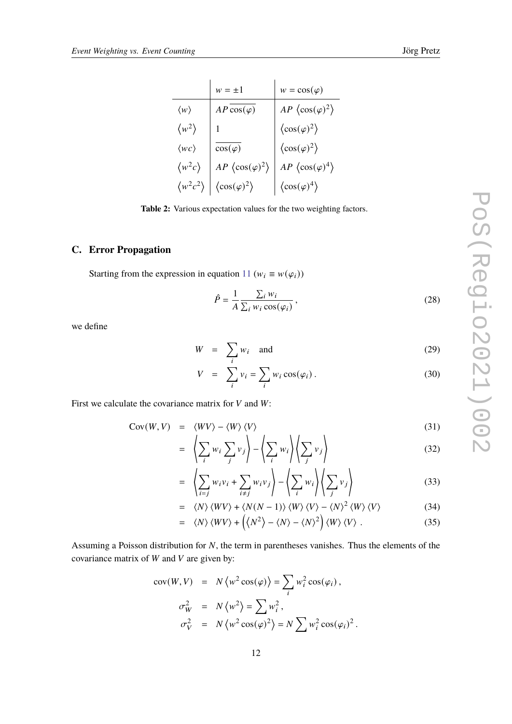<span id="page-11-1"></span>

|                         | $w = \pm 1$                          | $w = cos(\varphi)$                   |
|-------------------------|--------------------------------------|--------------------------------------|
| $\langle w \rangle$     | $AP\cos(\varphi)$                    | AP $\langle \cos(\varphi)^2 \rangle$ |
| $\langle w^2 \rangle$   |                                      | $\langle \cos(\varphi)^2 \rangle$    |
| $\langle wc \rangle$    | $\cos(\varphi)$                      | $\langle \cos(\varphi)^2 \rangle$    |
| $\langle w^2 c \rangle$ | AP $\langle \cos(\varphi)^2 \rangle$ | AP $\langle \cos(\varphi)^4 \rangle$ |
| $\langle w^2c^2\rangle$ | $\langle \cos(\varphi)^2 \rangle$    | $\langle \cos(\varphi)^4 \rangle$    |

**Table 2:** Various expectation values for the two weighting factors.

## <span id="page-11-0"></span>**C. Error Propagation**

Starting from the expression in equation [11](#page-4-2) ( $w_i \equiv w(\varphi_i)$ )

<span id="page-11-2"></span>
$$
\hat{P} = \frac{1}{A} \frac{\sum_{i} w_i}{\sum_{i} w_i \cos(\varphi_i)},
$$
\n(28)

we define

$$
W = \sum_{i} w_i \quad \text{and} \tag{29}
$$

$$
V = \sum_{i} v_i = \sum_{i} w_i \cos(\varphi_i). \tag{30}
$$

First we calculate the covariance matrix for  $V$  and  $W$ :

$$
Cov(W, V) = \langle WV \rangle - \langle W \rangle \langle V \rangle \tag{31}
$$

$$
= \left\langle \sum_{i} w_{i} \sum_{j} v_{j} \right\rangle - \left\langle \sum_{i} w_{i} \right\rangle \left\langle \sum_{j} v_{j} \right\rangle \tag{32}
$$

$$
= \left\langle \sum_{i=j} w_i v_i + \sum_{i \neq j} w_i v_j \right\rangle - \left\langle \sum_i w_i \right\rangle \left\langle \sum_j v_j \right\rangle \tag{33}
$$

$$
= \langle N \rangle \langle WV \rangle + \langle N(N-1) \rangle \langle W \rangle \langle V \rangle - \langle N \rangle^{2} \langle W \rangle \langle V \rangle \tag{34}
$$

$$
= \langle N \rangle \langle WV \rangle + \left( \langle N^2 \rangle - \langle N \rangle - \langle N \rangle^2 \right) \langle W \rangle \langle V \rangle . \tag{35}
$$

Assuming a Poisson distribution for  $N$ , the term in parentheses vanishes. Thus the elements of the covariance matrix of  $W$  and  $V$  are given by:

$$
cov(W, V) = N \langle w^2 \cos(\varphi) \rangle = \sum_i w_i^2 \cos(\varphi_i),
$$
  

$$
\sigma_W^2 = N \langle w^2 \rangle = \sum w_i^2,
$$
  

$$
\sigma_V^2 = N \langle w^2 \cos(\varphi)^2 \rangle = N \sum w_i^2 \cos(\varphi_i)^2.
$$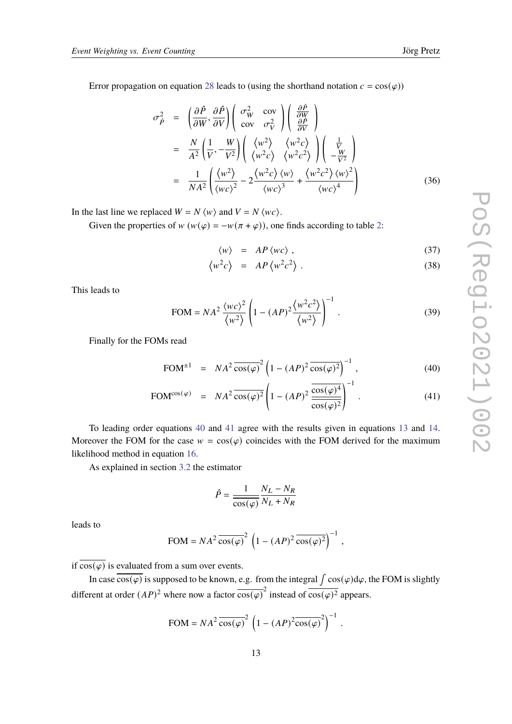Error propagation on equation [28](#page-11-2) leads to (using the shorthand notation  $c = cos(\varphi)$ )

$$
\sigma_{\hat{P}}^2 = \left(\frac{\partial \hat{P}}{\partial W}, \frac{\partial \hat{P}}{\partial V}\right) \left(\begin{array}{cc} \sigma_W^2 & \text{cov} \\ \text{cov} & \sigma_V^2 \end{array}\right) \left(\begin{array}{c} \frac{\partial \hat{P}}{\partial W} \\ \frac{\partial \hat{P}}{\partial V} \end{array}\right)
$$
  
\n
$$
= \frac{N}{A^2} \left(\frac{1}{V}, -\frac{W}{V^2}\right) \left(\begin{array}{cc} \langle w^2 \rangle & \langle w^2 c \rangle \\ \langle w^2 c \rangle & \langle w^2 c^2 \rangle \end{array}\right) \left(\begin{array}{c} \frac{1}{V} \\ -\frac{W}{V^2} \end{array}\right)
$$
  
\n
$$
= \frac{1}{NA^2} \left(\frac{\langle w^2 \rangle}{\langle wc \rangle^2} - 2 \frac{\langle w^2 c \rangle \langle w \rangle}{\langle wc \rangle^3} + \frac{\langle w^2 c^2 \rangle \langle w \rangle^2}{\langle wc \rangle^4} \right)
$$
(36)

In the last line we replaced  $W = N \langle w \rangle$  and  $V = N \langle wc \rangle$ .

Given the properties of  $w(w(\varphi) = -w(\pi + \varphi))$ , one finds according to table [2:](#page-11-1)

$$
\langle w \rangle = AP \langle wc \rangle , \qquad (37)
$$

$$
\langle w^2 c \rangle = AP \langle w^2 c^2 \rangle. \tag{38}
$$

This leads to

$$
\text{FOM} = NA^2 \frac{\langle wc \rangle^2}{\langle w^2 \rangle} \left( 1 - (AP)^2 \frac{\langle w^2 c^2 \rangle}{\langle w^2 \rangle} \right)^{-1} . \tag{39}
$$

Finally for the FOMs read

<span id="page-12-0"></span>
$$
\text{FOM}^{\pm 1} = N A^2 \overline{\cos(\varphi)}^2 \left( 1 - (AP)^2 \overline{\cos(\varphi)^2} \right)^{-1}, \tag{40}
$$

$$
\text{FOM}^{\cos(\varphi)} = NA^2 \overline{\cos(\varphi)^2} \left( 1 - (AP)^2 \frac{\overline{\cos(\varphi)^4}}{\overline{\cos(\varphi)^2}} \right)^{-1} . \tag{41}
$$

To leading order equations [40](#page-12-0) and [41](#page-12-0) agree with the results given in equations [13](#page-6-1) and [14.](#page-6-1) Moreover the FOM for the case  $w = \cos(\varphi)$  coincides with the FOM derived for the maximum likelihood method in equation [16.](#page-7-0)

As explained in section [3.2](#page-4-4) the estimator

$$
\hat{P} = \frac{1}{\cos(\varphi)} \frac{N_L - N_R}{N_L + N_R}
$$

leads to

$$
\text{FOM} = NA^2 \overline{\cos(\varphi)}^2 \left(1 - (AP)^2 \overline{\cos(\varphi)^2}\right)^{-1},
$$

if  $\overline{\cos(\varphi)}$  is evaluated from a sum over events.

In case  $\overline{\cos(\varphi)}$  is supposed to be known, e.g. from the integral  $\int \cos(\varphi) d\varphi$ , the FOM is slightly different at order  $(AP)^2$  where now a factor  $\overline{\cos(\varphi)}^2$  instead of  $\overline{\cos(\varphi)^2}$  appears.

$$
FOM = NA^2 \overline{\cos(\varphi)}^2 \left(1 - (AP)^2 \overline{\cos(\varphi)}^2\right)^{-1}.
$$